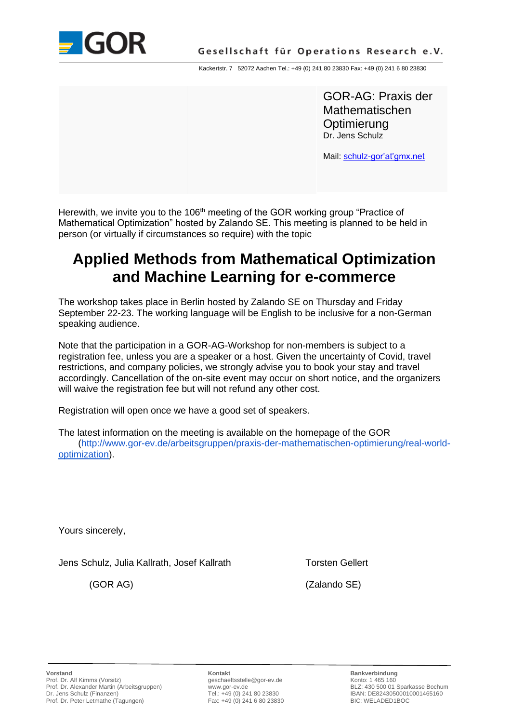

Kackertstr. 7 52072 Aachen Tel.: +49 (0) 241 80 23830 Fax: +49 (0) 241 6 80 23830

GOR-AG: Praxis der Mathematischen **Optimierung** Dr. Jens Schulz

Mail: schulz-gor'at'gmx.net

Herewith, we invite you to the 106<sup>th</sup> meeting of the GOR working group "Practice of Mathematical Optimization" hosted by Zalando SE. This meeting is planned to be held in person (or virtually if circumstances so require) with the topic

# **Applied Methods from Mathematical Optimization and Machine Learning for e-commerce**

The workshop takes place in Berlin hosted by Zalando SE on Thursday and Friday September 22-23. The working language will be English to be inclusive for a non-German speaking audience.

Note that the participation in a GOR-AG-Workshop for non-members is subject to a registration fee, unless you are a speaker or a host. Given the uncertainty of Covid, travel restrictions, and company policies, we strongly advise you to book your stay and travel accordingly. Cancellation of the on-site event may occur on short notice, and the organizers will waive the registration fee but will not refund any other cost.

Registration will open once we have a good set of speakers.

The latest information on the meeting is available on the homepage of the GOR [\(http://www.gor-ev.de/arbeitsgruppen/praxis-der-mathematischen-optimierung/real-world](http://www.gor-ev.de/arbeitsgruppen/praxis-der-mathematischen-optimierung/real-world-optimization)[optimization\)](http://www.gor-ev.de/arbeitsgruppen/praxis-der-mathematischen-optimierung/real-world-optimization).

Yours sincerely,

Jens Schulz, Julia Kallrath, Josef Kallrath Torsten Gellert

(GOR AG) (Zalando SE)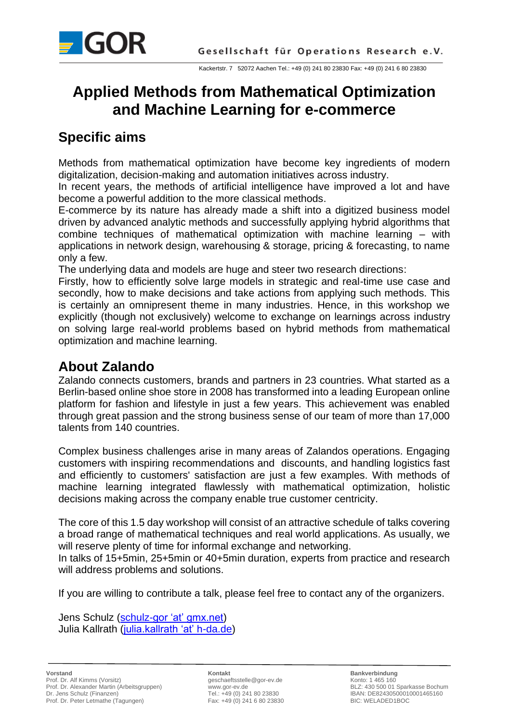

# **Applied Methods from Mathematical Optimization and Machine Learning for e-commerce**

### **Specific aims**

Methods from mathematical optimization have become key ingredients of modern digitalization, decision-making and automation initiatives across industry.

In recent years, the methods of artificial intelligence have improved a lot and have become a powerful addition to the more classical methods.

E-commerce by its nature has already made a shift into a digitized business model driven by advanced analytic methods and successfully applying hybrid algorithms that combine techniques of mathematical optimization with machine learning – with applications in network design, warehousing & storage, pricing & forecasting, to name only a few.

The underlying data and models are huge and steer two research directions:

Firstly, how to efficiently solve large models in strategic and real-time use case and secondly, how to make decisions and take actions from applying such methods. This is certainly an omnipresent theme in many industries. Hence, in this workshop we explicitly (though not exclusively) welcome to exchange on learnings across industry on solving large real-world problems based on hybrid methods from mathematical optimization and machine learning.

# **About Zalando**

Zalando connects customers, brands and partners in 23 countries. What started as a Berlin-based online shoe store in 2008 has transformed into a leading European online platform for fashion and lifestyle in just a few years. This achievement was enabled through great passion and the strong business sense of our team of more than 17,000 talents from 140 countries.

Complex business challenges arise in many areas of Zalandos operations. Engaging customers with inspiring recommendations and discounts, and handling logistics fast and efficiently to customers' satisfaction are just a few examples. With methods of machine learning integrated flawlessly with mathematical optimization, holistic decisions making across the company enable true customer centricity.

The core of this 1.5 day workshop will consist of an attractive schedule of talks covering a broad range of mathematical techniques and real world applications. As usually, we will reserve plenty of time for informal exchange and networking.

In talks of 15+5min, 25+5min or 40+5min duration, experts from practice and research will address problems and solutions.

If you are willing to contribute a talk, please feel free to contact any of the organizers.

Jens Schulz (schulz-gor 'at' gmx.net) Julia Kallrath (julia.kallrath 'at' h-da.de)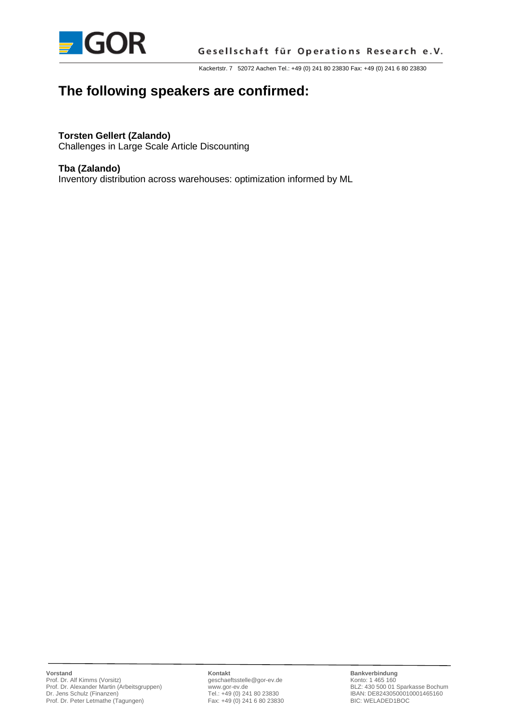

Kackertstr. 7 52072 Aachen Tel.: +49 (0) 241 80 23830 Fax: +49 (0) 241 6 80 23830

## **The following speakers are confirmed:**

#### **Torsten Gellert (Zalando)**

Challenges in Large Scale Article Discounting

#### **Tba (Zalando)**

Inventory distribution across warehouses: optimization informed by ML